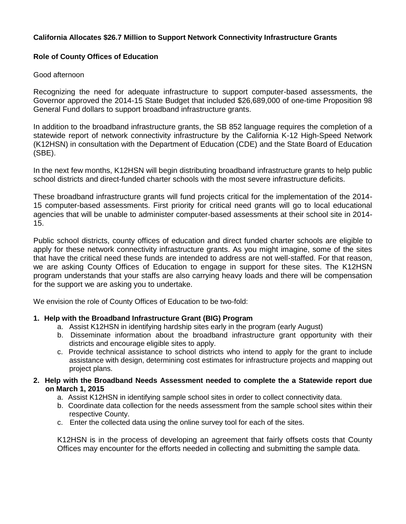## **California Allocates \$26.7 Million to Support Network Connectivity Infrastructure Grants**

## **Role of County Offices of Education**

## Good afternoon

Recognizing the need for adequate infrastructure to support computer-based assessments, the Governor approved the 2014-15 State Budget that included \$26,689,000 of one-time Proposition 98 General Fund dollars to support broadband infrastructure grants.

In addition to the broadband infrastructure grants, the SB 852 language requires the completion of a statewide report of network connectivity infrastructure by the California K-12 High-Speed Network (K12HSN) in consultation with the Department of Education (CDE) and the State Board of Education (SBE).

In the next few months, K12HSN will begin distributing broadband infrastructure grants to help public school districts and direct-funded charter schools with the most severe infrastructure deficits.

These broadband infrastructure grants will fund projects critical for the implementation of the 2014- 15 computer-based assessments. First priority for critical need grants will go to local educational agencies that will be unable to administer computer-based assessments at their school site in 2014- 15.

Public school districts, county offices of education and direct funded charter schools are eligible to apply for these network connectivity infrastructure grants. As you might imagine, some of the sites that have the critical need these funds are intended to address are not well-staffed. For that reason, we are asking County Offices of Education to engage in support for these sites. The K12HSN program understands that your staffs are also carrying heavy loads and there will be compensation for the support we are asking you to undertake.

We envision the role of County Offices of Education to be two-fold:

# **1. Help with the Broadband Infrastructure Grant (BIG) Program**

- a. Assist K12HSN in identifying hardship sites early in the program (early August)
- b. Disseminate information about the broadband infrastructure grant opportunity with their districts and encourage eligible sites to apply.
- c. Provide technical assistance to school districts who intend to apply for the grant to include assistance with design, determining cost estimates for infrastructure projects and mapping out project plans.
- **2. Help with the Broadband Needs Assessment needed to complete the a Statewide report due on March 1, 2015**
	- a. Assist K12HSN in identifying sample school sites in order to collect connectivity data.
	- b. Coordinate data collection for the needs assessment from the sample school sites within their respective County.
	- c. Enter the collected data using the online survey tool for each of the sites.

K12HSN is in the process of developing an agreement that fairly offsets costs that County Offices may encounter for the efforts needed in collecting and submitting the sample data.